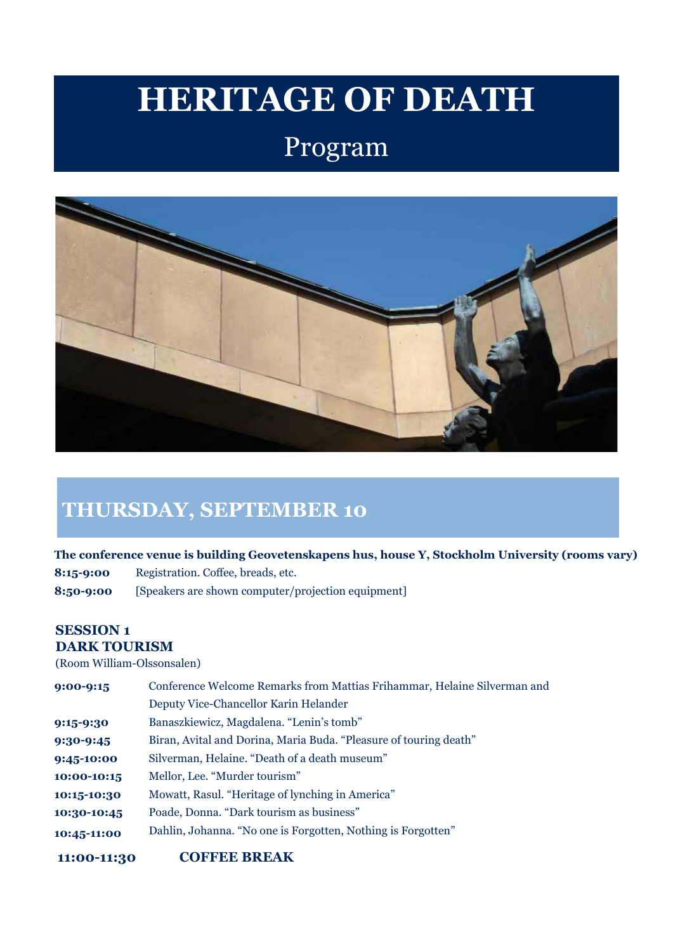## **HERITAGE OF DEATH**

## Program



## **THURSDAY, SEPTEMBER 10**

**The conference venue is building Geovetenskapens hus, house Y, Stockholm University (rooms vary)**

**8:15-9:00** Registration. Coffee, breads, etc.

**8:50-9:00** [Speakers are shown computer/projection equipment]

#### **SESSION 1 DARK TOURISM**

(Room William-Olssonsalen)

| $9:00 - 9:15$ | Conference Welcome Remarks from Mattias Frihammar, Helaine Silverman and |
|---------------|--------------------------------------------------------------------------|
|               | Deputy Vice-Chancellor Karin Helander                                    |
| 9:15-9:30     | Banaszkiewicz, Magdalena. "Lenin's tomb"                                 |
| 9:30-9:45     | Biran, Avital and Dorina, Maria Buda. "Pleasure of touring death"        |
| 9:45-10:00    | Silverman, Helaine. "Death of a death museum"                            |
| 10:00-10:15   | Mellor, Lee. "Murder tourism"                                            |
| 10:15-10:30   | Mowatt, Rasul. "Heritage of lynching in America"                         |
| 10:30-10:45   | Poade, Donna. "Dark tourism as business"                                 |
| 10:45-11:00   | Dahlin, Johanna. "No one is Forgotten, Nothing is Forgotten"             |
|               |                                                                          |

**11:00-11:30 COFFEE BREAK**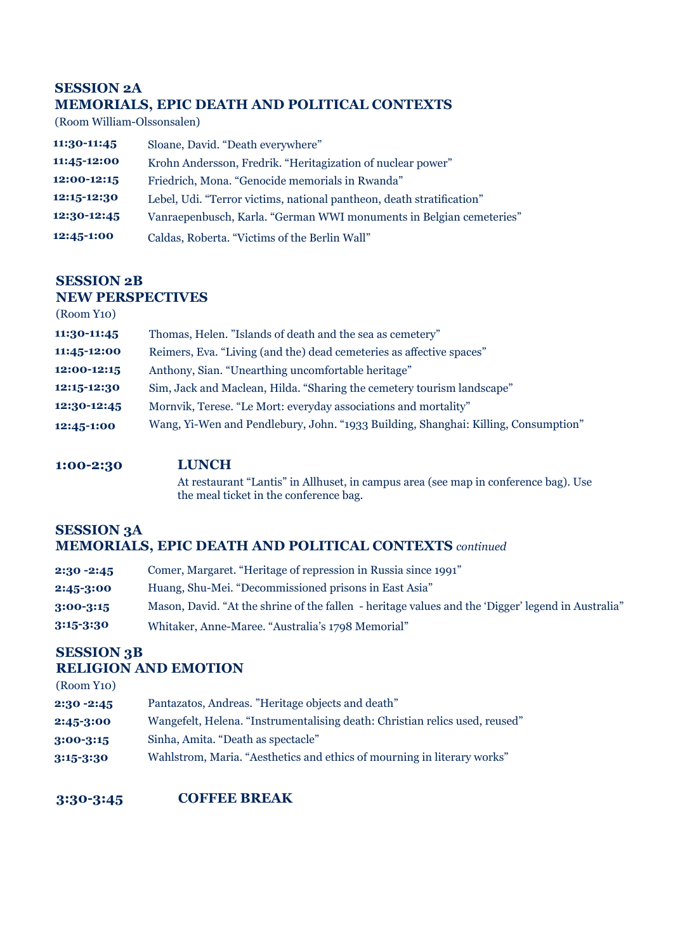#### **SESSION 2A MEMORIALS, EPIC DEATH AND POLITICAL CONTEXTS**

(Room William-Olssonsalen)

| 11:30-11:45 | Sloane, David. "Death everywhere"                                     |
|-------------|-----------------------------------------------------------------------|
| 11:45-12:00 | Krohn Andersson, Fredrik. "Heritagization of nuclear power"           |
| 12:00-12:15 | Friedrich, Mona. "Genocide memorials in Rwanda"                       |
| 12:15-12:30 | Lebel, Udi. "Terror victims, national pantheon, death stratification" |
| 12:30-12:45 | Vanraepenbusch, Karla. "German WWI monuments in Belgian cemeteries"   |
| 12:45-1:00  | Caldas, Roberta. "Victims of the Berlin Wall"                         |

#### **SESSION 2B NEW PERSPECTIVES**

| (Room Y <sub>10</sub> ) |                                                                                    |
|-------------------------|------------------------------------------------------------------------------------|
| 11:30-11:45             | Thomas, Helen. "Islands of death and the sea as cemetery"                          |
| 11:45-12:00             | Reimers, Eva. "Living (and the) dead cemeteries as affective spaces"               |
| 12:00-12:15             | Anthony, Sian. "Unearthing uncomfortable heritage"                                 |
| 12:15-12:30             | Sim, Jack and Maclean, Hilda. "Sharing the cemetery tourism landscape"             |
| 12:30-12:45             | Mornvik, Terese. "Le Mort: everyday associations and mortality"                    |
| 12:45-1:00              | Wang, Yi-Wen and Pendlebury, John. "1933 Building, Shanghai: Killing, Consumption" |

#### **1:00-2:30 LUNCH**

At restaurant "Lantis" in Allhuset, in campus area (see map in conference bag). Use the meal ticket in the conference bag.

#### **SESSION 3A MEMORIALS, EPIC DEATH AND POLITICAL CONTEXTS** *continued*

| $2:30 - 2:45$ | Comer, Margaret. "Heritage of repression in Russia since 1991"                                     |
|---------------|----------------------------------------------------------------------------------------------------|
| 2:45-3:00     | Huang, Shu-Mei. "Decommissioned prisons in East Asia"                                              |
| 3:00-3:15     | Mason, David. "At the shrine of the fallen - heritage values and the 'Digger' legend in Australia" |
| 3:15-3:30     | Whitaker, Anne-Maree. "Australia's 1798 Memorial"                                                  |

## **SESSION 3B**

#### **RELIGION AND EMOTION**

| (Room Y <sub>10</sub> ) |                                                                             |
|-------------------------|-----------------------------------------------------------------------------|
| 2:30 -2:45              | Pantazatos, Andreas. "Heritage objects and death"                           |
| 2:45-3:00               | Wangefelt, Helena. "Instrumentalising death: Christian relics used, reused" |
| $3:00 - 3:15$           | Sinha, Amita. "Death as spectacle"                                          |
| 3:15-3:30               | Wahlstrom, Maria. "Aesthetics and ethics of mourning in literary works"     |
|                         |                                                                             |

#### **3:30-3:45 COFFEE BREAK**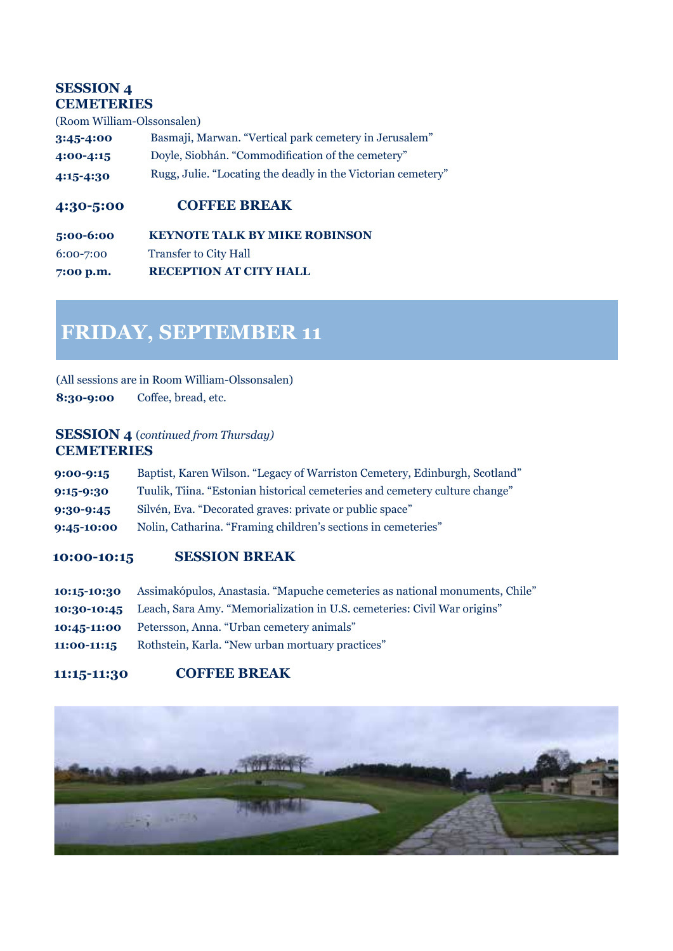#### **SESSION 4 CEMETERIES**

(Room William-Olssonsalen)

| $3:45 - 4:00$ | Basmaji, Marwan. "Vertical park cemetery in Jerusalem"       |
|---------------|--------------------------------------------------------------|
| $4:00 - 4:15$ | Doyle, Siobhán. "Commodification of the cemetery"            |
| $4:15 - 4:30$ | Rugg, Julie. "Locating the deadly in the Victorian cemetery" |

#### **4:30-5:00 COFFEE BREAK**

**5:00-6:00 KEYNOTE TALK BY MIKE ROBINSON** 6:00-7:00 Transfer to City Hall **7:00 p.m. RECEPTION AT CITY HALL**

## **FRIDAY, SEPTEMBER 11**

(All sessions are in Room William-Olssonsalen) **8:30-9:00** Coffee, bread, etc.

#### **SESSION 4** (*continued from Thursday)* **CEMETERIES**

| $9:00 - 9:15$ | Baptist, Karen Wilson. "Legacy of Warriston Cemetery, Edinburgh, Scotland"  |
|---------------|-----------------------------------------------------------------------------|
| 9:15-9:30     | Tuulik, Tiina. "Estonian historical cemeteries and cemetery culture change" |
| 9:30-9:45     | Silvén, Eva. "Decorated graves: private or public space"                    |
| 9:45-10:00    | Nolin, Catharina. "Framing children's sections in cemeteries"               |

#### **10:00-10:15 SESSION BREAK**

|             | 10:15-10:30 Assimakópulos, Anastasia. "Mapuche cemeteries as national monuments, Chile" |
|-------------|-----------------------------------------------------------------------------------------|
|             | 10:30-10:45 Leach, Sara Amy. "Memorialization in U.S. cemeteries: Civil War origins"    |
|             | <b>10:45-11:00</b> Petersson, Anna. "Urban cemetery animals"                            |
| 11:00-11:15 | Rothstein, Karla. "New urban mortuary practices"                                        |

#### **11:15-11:30 COFFEE BREAK**